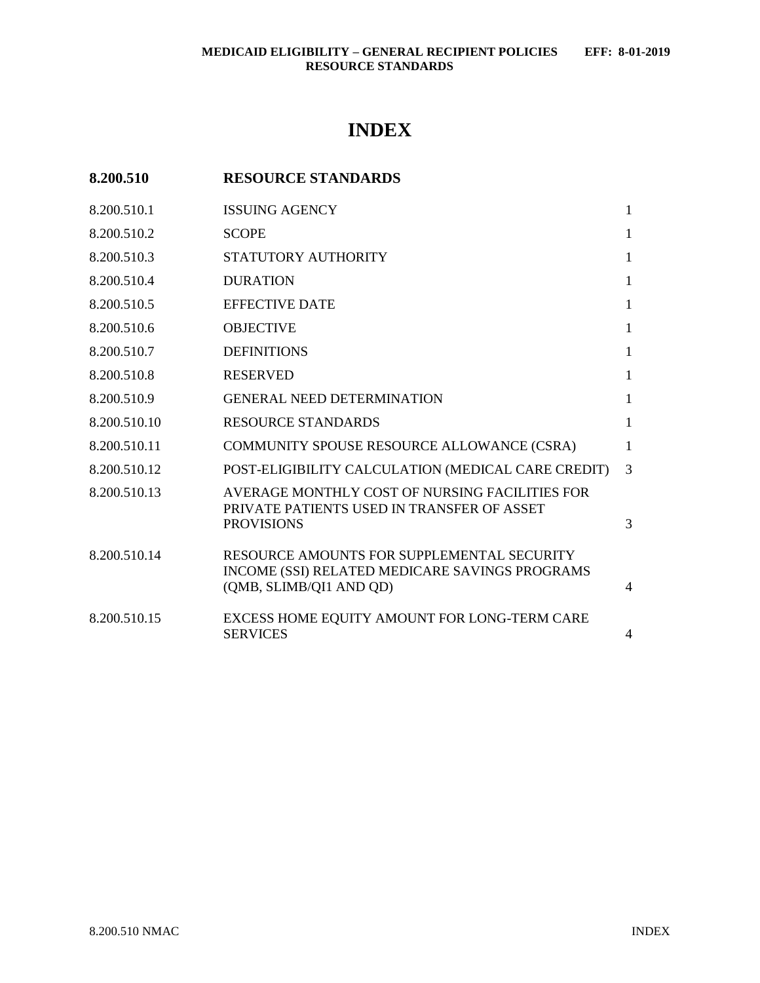# **INDEX**

| 8.200.510 | <b>RESOURCE STANDARDS</b> |
|-----------|---------------------------|
|-----------|---------------------------|

| 8.200.510.1  | <b>ISSUING AGENCY</b>                                                                                                   | 1              |
|--------------|-------------------------------------------------------------------------------------------------------------------------|----------------|
| 8.200.510.2  | <b>SCOPE</b>                                                                                                            | 1              |
| 8.200.510.3  | STATUTORY AUTHORITY                                                                                                     | 1              |
| 8.200.510.4  | <b>DURATION</b>                                                                                                         | 1              |
| 8.200.510.5  | <b>EFFECTIVE DATE</b>                                                                                                   | 1              |
| 8.200.510.6  | <b>OBJECTIVE</b>                                                                                                        | 1              |
| 8.200.510.7  | <b>DEFINITIONS</b>                                                                                                      | 1              |
| 8.200.510.8  | <b>RESERVED</b>                                                                                                         | 1              |
| 8.200.510.9  | <b>GENERAL NEED DETERMINATION</b>                                                                                       | 1              |
| 8.200.510.10 | <b>RESOURCE STANDARDS</b>                                                                                               | 1              |
| 8.200.510.11 | COMMUNITY SPOUSE RESOURCE ALLOWANCE (CSRA)                                                                              | 1              |
| 8.200.510.12 | POST-ELIGIBILITY CALCULATION (MEDICAL CARE CREDIT)                                                                      | 3              |
| 8.200.510.13 | AVERAGE MONTHLY COST OF NURSING FACILITIES FOR<br>PRIVATE PATIENTS USED IN TRANSFER OF ASSET<br><b>PROVISIONS</b>       | 3              |
| 8.200.510.14 | RESOURCE AMOUNTS FOR SUPPLEMENTAL SECURITY<br>INCOME (SSI) RELATED MEDICARE SAVINGS PROGRAMS<br>(QMB, SLIMB/QI1 AND QD) | $\overline{4}$ |
| 8.200.510.15 | EXCESS HOME EQUITY AMOUNT FOR LONG-TERM CARE<br><b>SERVICES</b>                                                         | $\overline{4}$ |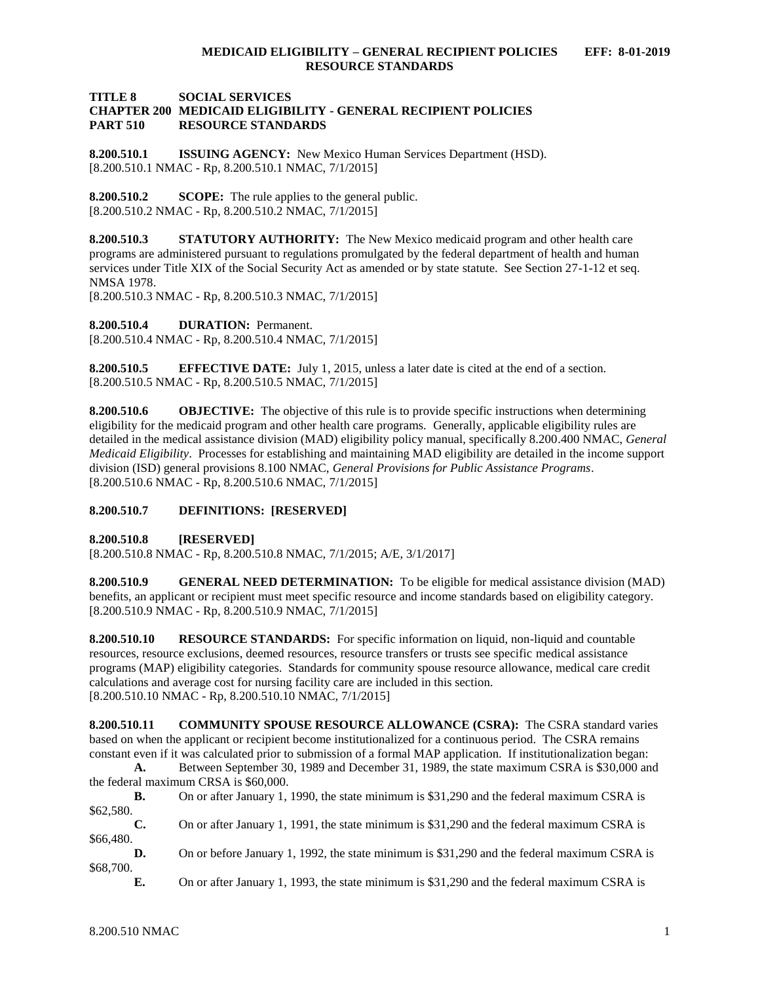#### **TITLE 8 SOCIAL SERVICES CHAPTER 200 MEDICAID ELIGIBILITY - GENERAL RECIPIENT POLICIES PART 510 RESOURCE STANDARDS**

<span id="page-1-0"></span>**8.200.510.1 ISSUING AGENCY:** New Mexico Human Services Department (HSD). [8.200.510.1 NMAC - Rp, 8.200.510.1 NMAC, 7/1/2015]

<span id="page-1-1"></span>**8.200.510.2 SCOPE:** The rule applies to the general public. [8.200.510.2 NMAC - Rp, 8.200.510.2 NMAC, 7/1/2015]

<span id="page-1-2"></span>**8.200.510.3 STATUTORY AUTHORITY:** The New Mexico medicaid program and other health care programs are administered pursuant to regulations promulgated by the federal department of health and human services under Title XIX of the Social Security Act as amended or by state statute. See Section 27-1-12 et seq. NMSA 1978.

[8.200.510.3 NMAC - Rp, 8.200.510.3 NMAC, 7/1/2015]

<span id="page-1-3"></span>**8.200.510.4 DURATION:** Permanent.

[8.200.510.4 NMAC - Rp, 8.200.510.4 NMAC, 7/1/2015]

<span id="page-1-4"></span>**8.200.510.5 EFFECTIVE DATE:** July 1, 2015, unless a later date is cited at the end of a section. [8.200.510.5 NMAC - Rp, 8.200.510.5 NMAC, 7/1/2015]

<span id="page-1-5"></span>**8.200.510.6 OBJECTIVE:** The objective of this rule is to provide specific instructions when determining eligibility for the medicaid program and other health care programs. Generally, applicable eligibility rules are detailed in the medical assistance division (MAD) eligibility policy manual, specifically 8.200.400 NMAC, *General Medicaid Eligibility*. Processes for establishing and maintaining MAD eligibility are detailed in the income support division (ISD) general provisions 8.100 NMAC, *General Provisions for Public Assistance Programs*. [8.200.510.6 NMAC - Rp, 8.200.510.6 NMAC, 7/1/2015]

#### <span id="page-1-6"></span>**8.200.510.7 DEFINITIONS: [RESERVED]**

<span id="page-1-7"></span>**8.200.510.8 [RESERVED]**

[8.200.510.8 NMAC - Rp, 8.200.510.8 NMAC, 7/1/2015; A/E, 3/1/2017]

<span id="page-1-8"></span>**8.200.510.9 GENERAL NEED DETERMINATION:** To be eligible for medical assistance division (MAD) benefits, an applicant or recipient must meet specific resource and income standards based on eligibility category. [8.200.510.9 NMAC - Rp, 8.200.510.9 NMAC, 7/1/2015]

<span id="page-1-9"></span>**8.200.510.10 RESOURCE STANDARDS:** For specific information on liquid, non-liquid and countable resources, resource exclusions, deemed resources, resource transfers or trusts see specific medical assistance programs (MAP) eligibility categories. Standards for community spouse resource allowance, medical care credit calculations and average cost for nursing facility care are included in this section. [8.200.510.10 NMAC - Rp, 8.200.510.10 NMAC, 7/1/2015]

<span id="page-1-10"></span>**8.200.510.11 COMMUNITY SPOUSE RESOURCE ALLOWANCE (CSRA):** The CSRA standard varies based on when the applicant or recipient become institutionalized for a continuous period. The CSRA remains constant even if it was calculated prior to submission of a formal MAP application. If institutionalization began:

**A.** Between September 30, 1989 and December 31, 1989, the state maximum CSRA is \$30,000 and the federal maximum CRSA is \$60,000.

**B.** On or after January 1, 1990, the state minimum is \$31,290 and the federal maximum CSRA is \$62,580.

**C.** On or after January 1, 1991, the state minimum is \$31,290 and the federal maximum CSRA is \$66,480.

**D.** On or before January 1, 1992, the state minimum is \$31,290 and the federal maximum CSRA is \$68,700.

**E.** On or after January 1, 1993, the state minimum is \$31,290 and the federal maximum CSRA is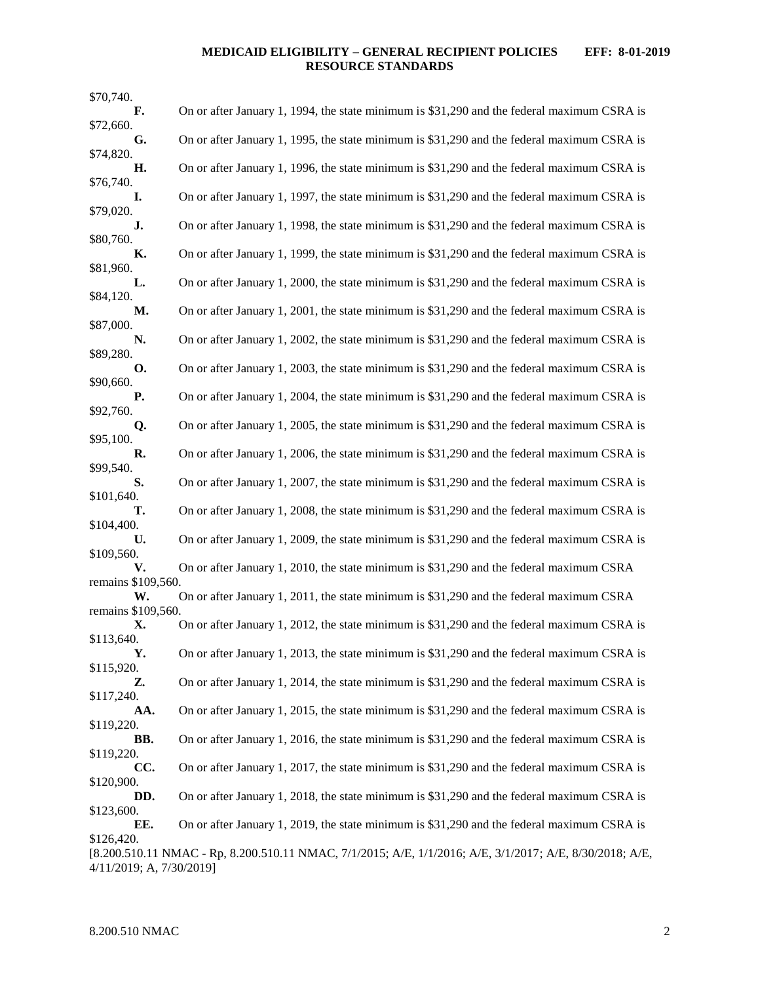### **MEDICAID ELIGIBILITY – GENERAL RECIPIENT POLICIES EFF: 8-01-2019 RESOURCE STANDARDS**

| \$70,740.                |                                                                                                          |
|--------------------------|----------------------------------------------------------------------------------------------------------|
| F.                       | On or after January 1, 1994, the state minimum is \$31,290 and the federal maximum CSRA is               |
| \$72,660.<br>G.          | On or after January 1, 1995, the state minimum is \$31,290 and the federal maximum CSRA is               |
| \$74,820.                |                                                                                                          |
| Η.<br>\$76,740.          | On or after January 1, 1996, the state minimum is \$31,290 and the federal maximum CSRA is               |
| I.                       | On or after January 1, 1997, the state minimum is \$31,290 and the federal maximum CSRA is               |
| \$79,020.<br>J.          | On or after January 1, 1998, the state minimum is \$31,290 and the federal maximum CSRA is               |
| \$80,760.<br>К.          | On or after January 1, 1999, the state minimum is \$31,290 and the federal maximum CSRA is               |
| \$81,960.<br>L.          | On or after January 1, 2000, the state minimum is \$31,290 and the federal maximum CSRA is               |
| \$84,120.<br>М.          | On or after January 1, 2001, the state minimum is \$31,290 and the federal maximum CSRA is               |
| \$87,000.                |                                                                                                          |
| N.<br>\$89,280.          | On or after January 1, 2002, the state minimum is \$31,290 and the federal maximum CSRA is               |
| О.<br>\$90,660.          | On or after January 1, 2003, the state minimum is \$31,290 and the federal maximum CSRA is               |
| <b>P.</b><br>\$92,760.   | On or after January 1, 2004, the state minimum is \$31,290 and the federal maximum CSRA is               |
| Q.                       | On or after January 1, 2005, the state minimum is \$31,290 and the federal maximum CSRA is               |
| \$95,100.<br>R.          | On or after January 1, 2006, the state minimum is \$31,290 and the federal maximum CSRA is               |
| \$99,540.<br>S.          | On or after January 1, 2007, the state minimum is \$31,290 and the federal maximum CSRA is               |
| \$101,640.<br>т.         | On or after January 1, 2008, the state minimum is \$31,290 and the federal maximum CSRA is               |
| \$104,400.<br>U.         | On or after January 1, 2009, the state minimum is \$31,290 and the federal maximum CSRA is               |
| \$109,560.<br>V.         | On or after January 1, 2010, the state minimum is \$31,290 and the federal maximum CSRA                  |
| remains \$109,560.       |                                                                                                          |
| W.<br>remains \$109,560. | On or after January 1, 2011, the state minimum is \$31,290 and the federal maximum CSRA                  |
| Х.                       | On or after January 1, 2012, the state minimum is \$31,290 and the federal maximum CSRA is               |
| \$113,640.<br>Υ.         | On or after January 1, 2013, the state minimum is \$31,290 and the federal maximum CSRA is               |
| \$115,920.<br>Z.         | On or after January 1, 2014, the state minimum is \$31,290 and the federal maximum CSRA is               |
| \$117,240.               |                                                                                                          |
| AA.<br>\$119,220.        | On or after January 1, 2015, the state minimum is \$31,290 and the federal maximum CSRA is               |
| BB.<br>\$119,220.        | On or after January 1, 2016, the state minimum is \$31,290 and the federal maximum CSRA is               |
| CC.                      | On or after January 1, 2017, the state minimum is \$31,290 and the federal maximum CSRA is               |
| \$120,900.<br>DD.        | On or after January 1, 2018, the state minimum is \$31,290 and the federal maximum CSRA is               |
| \$123,600.<br>EE.        | On or after January 1, 2019, the state minimum is \$31,290 and the federal maximum CSRA is               |
| \$126,420.               |                                                                                                          |
| 4/11/2019; A, 7/30/2019] | [8.200.510.11 NMAC - Rp, 8.200.510.11 NMAC, 7/1/2015; A/E, 1/1/2016; A/E, 3/1/2017; A/E, 8/30/2018; A/E, |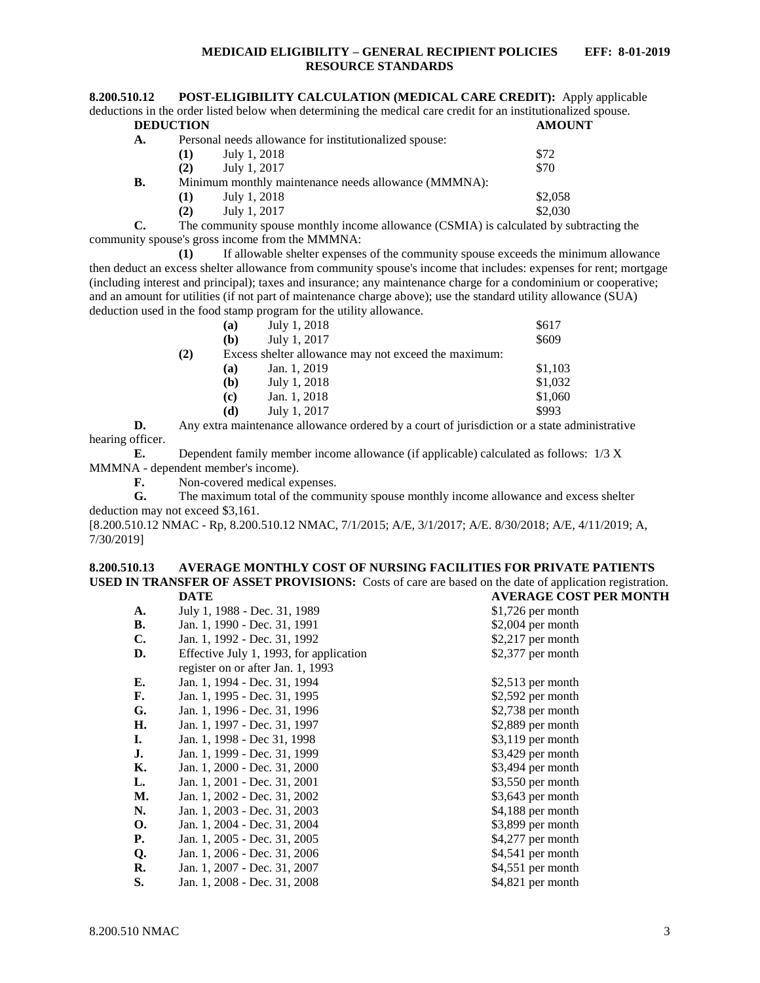#### **MEDICAID ELIGIBILITY – GENERAL RECIPIENT POLICIES EFF: 8-01-2019 RESOURCE STANDARDS**

<span id="page-3-0"></span>

| 8.200.510.12     | <b>POST-ELIGIBILITY CALCULATION (MEDICAL CARE CREDIT):</b> Apply applicable                                    |  |
|------------------|----------------------------------------------------------------------------------------------------------------|--|
|                  | deductions in the order listed below when determining the medical care credit for an institutionalized spouse. |  |
| <b>DEDUCTION</b> | AMOUNT                                                                                                         |  |

| А. |          |              | Personal needs allowance for institutionalized spouse: |         |
|----|----------|--------------|--------------------------------------------------------|---------|
|    | (T)      | July 1, 2018 |                                                        | \$72    |
|    | (2)      | July 1, 2017 |                                                        | \$70    |
| В. |          |              | Minimum monthly maintenance needs allowance (MMMNA):   |         |
|    | $\bf(1)$ | July 1, 2018 |                                                        | \$2,058 |
|    | (2)      | July 1, 2017 |                                                        | \$2,030 |
|    |          |              |                                                        |         |

**C.** The community spouse monthly income allowance (CSMIA) is calculated by subtracting the community spouse's gross income from the MMMNA:

**(1)** If allowable shelter expenses of the community spouse exceeds the minimum allowance then deduct an excess shelter allowance from community spouse's income that includes: expenses for rent; mortgage (including interest and principal); taxes and insurance; any maintenance charge for a condominium or cooperative; and an amount for utilities (if not part of maintenance charge above); use the standard utility allowance (SUA) deduction used in the food stamp program for the utility allowance.

|     | (a) | July 1, 2018                                         | \$617   |
|-----|-----|------------------------------------------------------|---------|
|     | (b) | July 1, 2017                                         | \$609   |
| (2) |     | Excess shelter allowance may not exceed the maximum: |         |
|     | (a) | Jan. 1, 2019                                         | \$1,103 |
|     | (b) | July 1, 2018                                         | \$1,032 |
|     | (c) | Jan. 1, 2018                                         | \$1,060 |
|     | (d) | July 1, 2017                                         | \$993   |

**D.** Any extra maintenance allowance ordered by a court of jurisdiction or a state administrative hearing officer.

**E.** Dependent family member income allowance (if applicable) calculated as follows: 1/3 X MMMNA - dependent member's income).

**F.** Non-covered medical expenses.

**G.** The maximum total of the community spouse monthly income allowance and excess shelter deduction may not exceed \$3,161.

[8.200.510.12 NMAC - Rp, 8.200.510.12 NMAC, 7/1/2015; A/E, 3/1/2017; A/E. 8/30/2018; A/E, 4/11/2019; A, 7/30/2019]

#### <span id="page-3-1"></span>**8.200.510.13 AVERAGE MONTHLY COST OF NURSING FACILITIES FOR PRIVATE PATIENTS USED IN TRANSFER OF ASSET PROVISIONS:** Costs of care are based on the date of application registration. **DATE AVERAGE COST PER MONTH**

| A.        | July 1, 1988 - Dec. 31, 1989            | $$1,726$ per month |
|-----------|-----------------------------------------|--------------------|
| В.        | Jan. 1, 1990 - Dec. 31, 1991            | $$2,004$ per month |
| C.        | Jan. 1, 1992 - Dec. 31, 1992            | $$2,217$ per month |
| D.        | Effective July 1, 1993, for application | $$2,377$ per month |
|           | register on or after Jan. 1, 1993       |                    |
| E.        | Jan. 1, 1994 - Dec. 31, 1994            | \$2,513 per month  |
| F.        | Jan. 1, 1995 - Dec. 31, 1995            | $$2,592$ per month |
| G.        | Jan. 1, 1996 - Dec. 31, 1996            | $$2,738$ per month |
| Н.        | Jan. 1, 1997 - Dec. 31, 1997            | $$2,889$ per month |
| I.        | Jan. 1, 1998 - Dec 31, 1998             | $$3,119$ per month |
| J.        | Jan. 1, 1999 - Dec. 31, 1999            | $$3,429$ per month |
| К.        | Jan. 1, 2000 - Dec. 31, 2000            | $$3,494$ per month |
| L.        | Jan. 1, 2001 - Dec. 31, 2001            | $$3,550$ per month |
| М.        | Jan. 1, 2002 - Dec. 31, 2002            | $$3,643$ per month |
| N.        | Jan. 1, 2003 - Dec. 31, 2003            | \$4,188 per month  |
| <b>O.</b> | Jan. 1, 2004 - Dec. 31, 2004            | \$3,899 per month  |
| Р.        | Jan. 1, 2005 - Dec. 31, 2005            | \$4,277 per month  |
| Q.        | Jan. 1, 2006 - Dec. 31, 2006            | \$4,541 per month  |
| R.        | Jan. 1, 2007 - Dec. 31, 2007            | \$4,551 per month  |
| S.        | Jan. 1, 2008 - Dec. 31, 2008            | \$4,821 per month  |